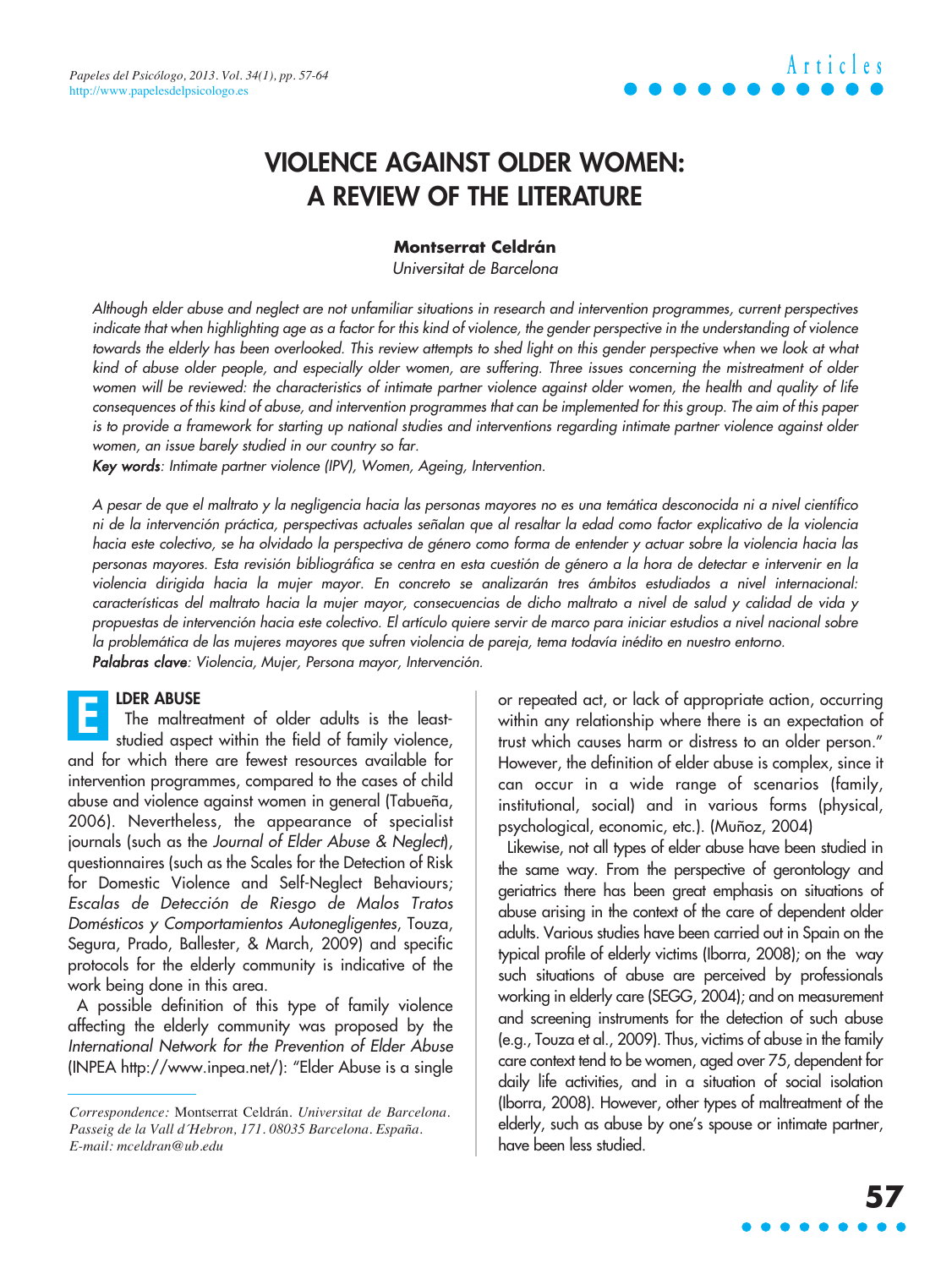### **VIOLENCE AGAINST OLDER WOMEN: A REVIEW OF THE LITERATURE**

#### **Montserrat Celdrán**

Universitat de Barcelona

Although elder abuse and neglect are not unfamiliar situations in research and intervention programmes, current perspectives indicate that when highlighting age as a factor for this kind of violence, the gender perspective in the understanding of violence towards the elderly has been overlooked. This review attempts to shed light on this gender perspective when we look at what kind of abuse older people, and especially older women, are suffering. Three issues concerning the mistreatment of older women will be reviewed: the characteristics of intimate partner violence against older women, the health and quality of life consequences of this kind of abuse, and intervention programmes that can be implemented for this group. The aim of this paper is to provide a framework for starting up national studies and interventions regarding intimate partner violence against older women, an issue barely studied in our country so far.

Key words: Intimate partner violence (IPV), Women, Ageing, Intervention.

A pesar de que el maltrato y la negligencia hacia las personas mayores no es una temática desconocida ni a nivel científico ni de la intervención práctica, perspectivas actuales señalan que al resaltar la edad como factor explicativo de la violencia hacia este colectivo, se ha olvidado la perspectiva de género como forma de entender y actuar sobre la violencia hacia las personas mayores. Esta revisión bibliográfica se centra en esta cuestión de género a la hora de detectar e intervenir en la violencia dirigida hacia la mujer mayor. En concreto se analizarán tres ámbitos estudiados a nivel internacional: características del maltrato hacia la mujer mayor, consecuencias de dicho maltrato a nivel de salud y calidad de vida y propuestas de intervención hacia este colectivo. El artículo quiere servir de marco para iniciar estudios a nivel nacional sobre la problemática de las mujeres mayores que sufren violencia de pareja, tema todavía inédito en nuestro entorno. Palabras clave: Violencia, Mujer, Persona mayor, Intervención.

#### **LDER ABUSE**

The maltreatment of older adults is the leaststudied aspect within the field of family violence, and for which there are fewest resources available for intervention programmes, compared to the cases of child abuse and violence against women in general (Tabueña, 2006). Nevertheless, the appearance of specialist journals (such as the Journal of Elder Abuse & Neglect), questionnaires (such as the Scales for the Detection of Risk for Domestic Violence and Self-Neglect Behaviours; Escalas de Detección de Riesgo de Malos Tratos Domésticos y Comportamientos Autonegligentes, Touza, Segura, Prado, Ballester, & March, 2009) and specific protocols for the elderly community is indicative of the work being done in this area. **E**

A possible definition of this type of family violence affecting the elderly community was proposed by the International Network for the Prevention of Elder Abuse (INPEA http://www.inpea.net/): "Elder Abuse is a single or repeated act, or lack of appropriate action, occurring within any relationship where there is an expectation of trust which causes harm or distress to an older person." However, the definition of elder abuse is complex, since it can occur in a wide range of scenarios (family, institutional, social) and in various forms (physical, psychological, economic, etc.). (Muñoz, 2004)

Likewise, not all types of elder abuse have been studied in the same way. From the perspective of gerontology and geriatrics there has been great emphasis on situations of abuse arising in the context of the care of dependent older adults. Various studies have been carried out in Spain on the typical profile of elderly victims (Iborra, 2008); on the way such situations of abuse are perceived by professionals working in elderly care (SEGG, 2004); and on measurement and screening instruments for the detection of such abuse (e.g., Touza et al., 2009). Thus, victims of abuse in the family care context tend to be women, aged over 75, dependent for daily life activities, and in a situation of social isolation (Iborra, 2008). However, other types of maltreatment of the elderly, such as abuse by one's spouse or intimate partner, have been less studied.

*Correspondence:* Montserrat Celdrán. *Universitat de Barcelona. Passeig de la Vall d´Hebron, 171. 08035 Barcelona. España. E-mail: mceldran@ub.edu*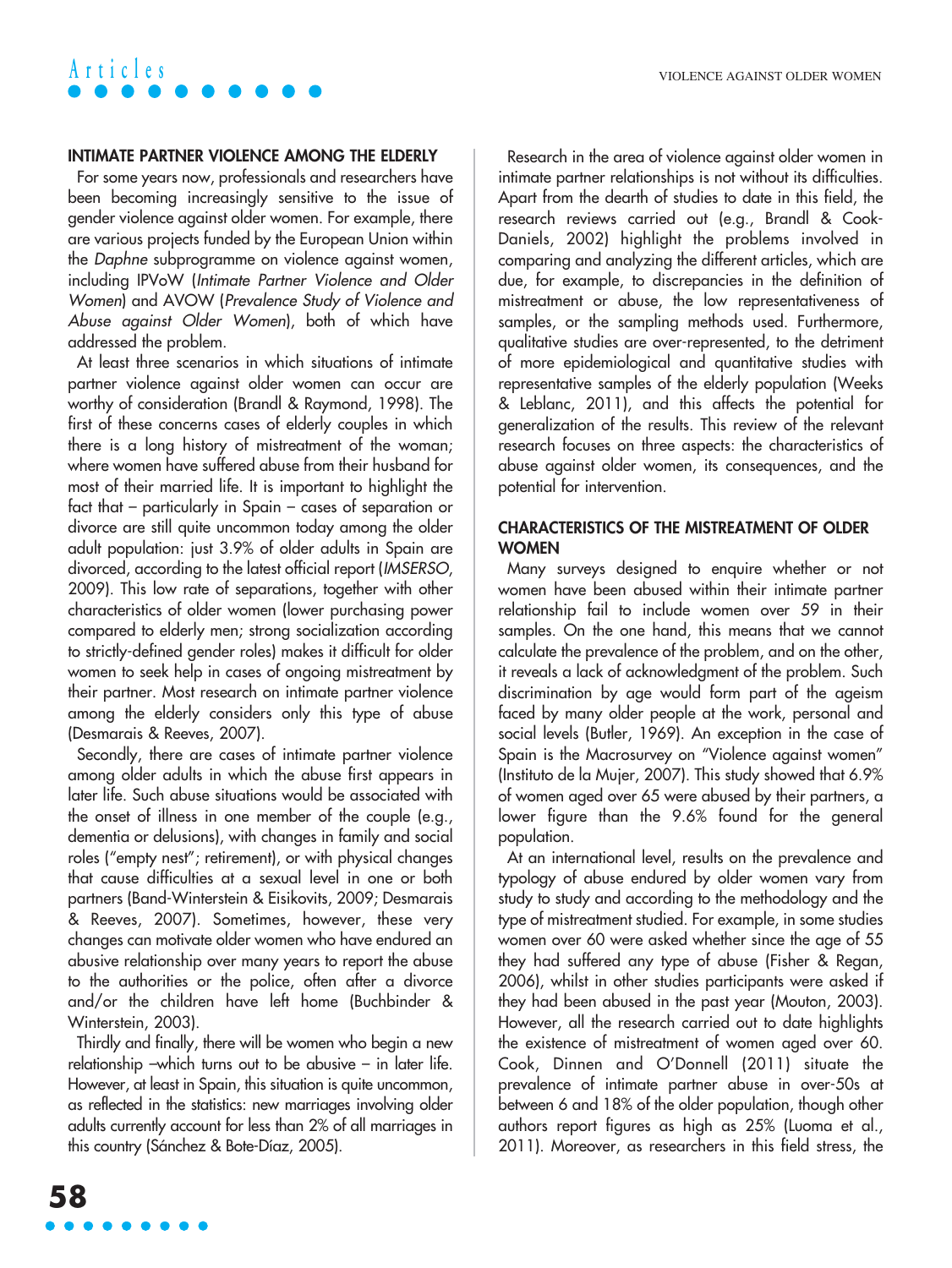#### **INTIMATE PARTNER VIOLENCE AMONG THE ELDERLY**

For some years now, professionals and researchers have been becoming increasingly sensitive to the issue of gender violence against older women. For example, there are various projects funded by the European Union within the Daphne subprogramme on violence against women, including IPVoW (Intimate Partner Violence and Older Women) and AVOW (Prevalence Study of Violence and Abuse against Older Women), both of which have addressed the problem.

At least three scenarios in which situations of intimate partner violence against older women can occur are worthy of consideration (Brandl & Raymond, 1998). The first of these concerns cases of elderly couples in which there is a long history of mistreatment of the woman; where women have suffered abuse from their husband for most of their married life. It is important to highlight the fact that – particularly in Spain – cases of separation or divorce are still quite uncommon today among the older adult population: just 3.9% of older adults in Spain are divorced, according to the latest official report (IMSERSO, 2009). This low rate of separations, together with other characteristics of older women (lower purchasing power compared to elderly men; strong socialization according to strictly-defined gender roles) makes it difficult for older women to seek help in cases of ongoing mistreatment by their partner. Most research on intimate partner violence among the elderly considers only this type of abuse (Desmarais & Reeves, 2007).

Secondly, there are cases of intimate partner violence among older adults in which the abuse first appears in later life. Such abuse situations would be associated with the onset of illness in one member of the couple (e.g., dementia or delusions), with changes in family and social roles ("empty nest"; retirement), or with physical changes that cause difficulties at a sexual level in one or both partners (Band-Winterstein & Eisikovits, 2009; Desmarais & Reeves, 2007). Sometimes, however, these very changes can motivate older women who have endured an abusive relationship over many years to report the abuse to the authorities or the police, often after a divorce and/or the children have left home (Buchbinder & Winterstein, 2003).

Thirdly and finally, there will be women who begin a new relationship –which turns out to be abusive – in later life. However, at least in Spain, this situation is quite uncommon, as reflected in the statistics: new marriages involving older adults currently account for less than 2% of all marriages in this country (Sánchez & Bote-Díaz, 2005).

Research in the area of violence against older women in intimate partner relationships is not without its difficulties. Apart from the dearth of studies to date in this field, the research reviews carried out (e.g., Brandl & Cook-Daniels, 2002) highlight the problems involved in comparing and analyzing the different articles, which are due, for example, to discrepancies in the definition of mistreatment or abuse, the low representativeness of samples, or the sampling methods used. Furthermore, qualitative studies are over-represented, to the detriment of more epidemiological and quantitative studies with representative samples of the elderly population (Weeks & Leblanc, 2011), and this affects the potential for generalization of the results. This review of the relevant research focuses on three aspects: the characteristics of abuse against older women, its consequences, and the potential for intervention.

#### **CHARACTERISTICS OF THE MISTREATMENT OF OLDER WOMEN**

Many surveys designed to enquire whether or not women have been abused within their intimate partner relationship fail to include women over 59 in their samples. On the one hand, this means that we cannot calculate the prevalence of the problem, and on the other, it reveals a lack of acknowledgment of the problem. Such discrimination by age would form part of the ageism faced by many older people at the work, personal and social levels (Butler, 1969). An exception in the case of Spain is the Macrosurvey on "Violence against women" (Instituto de la Mujer, 2007). This study showed that 6.9% of women aged over 65 were abused by their partners, a lower figure than the 9.6% found for the general population.

At an international level, results on the prevalence and typology of abuse endured by older women vary from study to study and according to the methodology and the type of mistreatment studied. For example, in some studies women over 60 were asked whether since the age of 55 they had suffered any type of abuse (Fisher & Regan, 2006), whilst in other studies participants were asked if they had been abused in the past year (Mouton, 2003). However, all the research carried out to date highlights the existence of mistreatment of women aged over 60. Cook, Dinnen and O'Donnell (2011) situate the prevalence of intimate partner abuse in over-50s at between 6 and 18% of the older population, though other authors report figures as high as 25% (Luoma et al., 2011). Moreover, as researchers in this field stress, the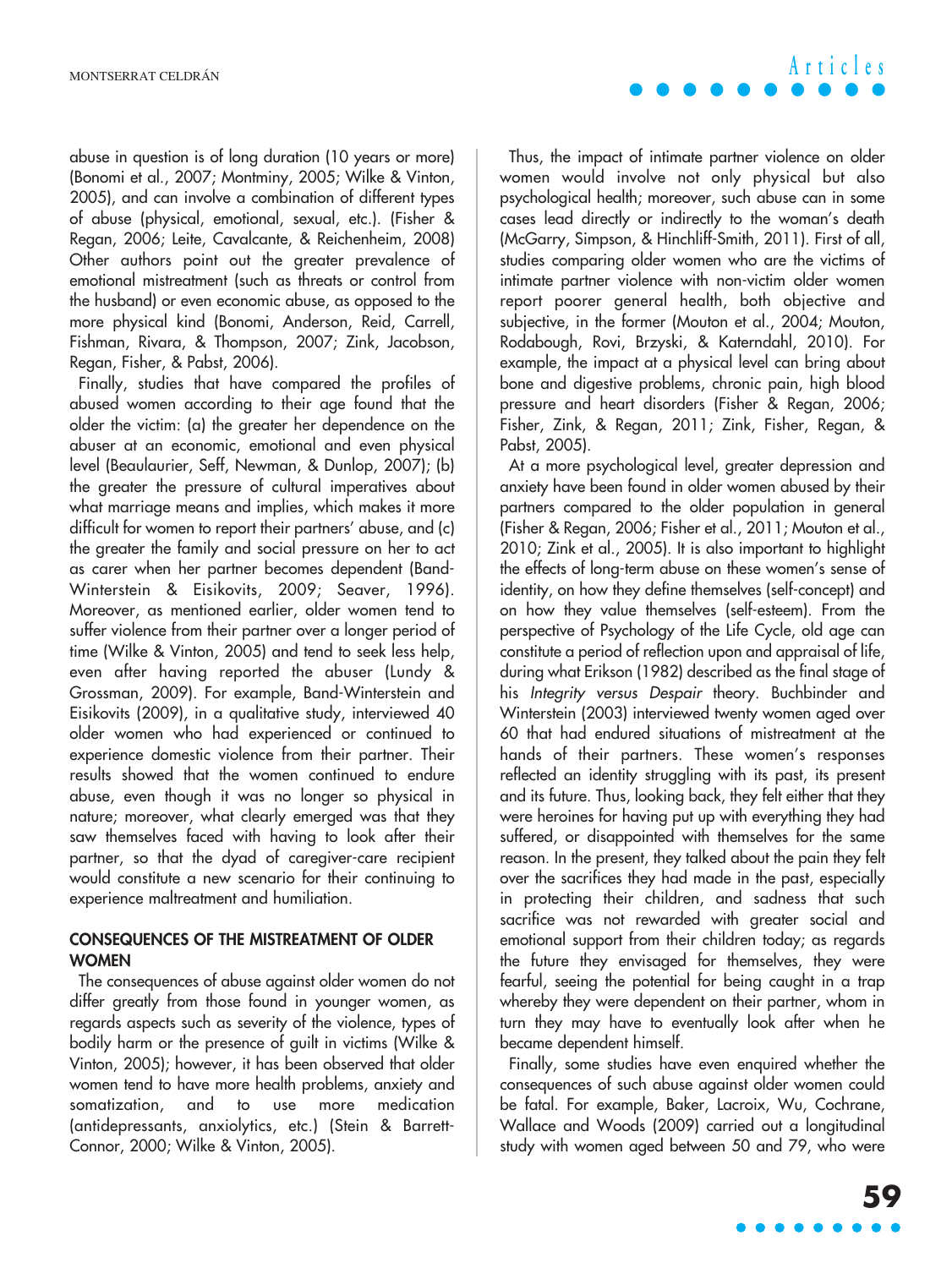abuse in question is of long duration (10 years or more) (Bonomi et al., 2007; Montminy, 2005; Wilke & Vinton, 2005), and can involve a combination of different types of abuse (physical, emotional, sexual, etc.). (Fisher & Regan, 2006; Leite, Cavalcante, & Reichenheim, 2008) Other authors point out the greater prevalence of emotional mistreatment (such as threats or control from the husband) or even economic abuse, as opposed to the more physical kind (Bonomi, Anderson, Reid, Carrell, Fishman, Rivara, & Thompson, 2007; Zink, Jacobson, Regan, Fisher, & Pabst, 2006).

Finally, studies that have compared the profiles of abused women according to their age found that the older the victim: (a) the greater her dependence on the abuser at an economic, emotional and even physical level (Beaulaurier, Seff, Newman, & Dunlop, 2007); (b) the greater the pressure of cultural imperatives about what marriage means and implies, which makes it more difficult for women to report their partners' abuse, and (c) the greater the family and social pressure on her to act as carer when her partner becomes dependent (Band-Winterstein & Eisikovits, 2009; Seaver, 1996). Moreover, as mentioned earlier, older women tend to suffer violence from their partner over a longer period of time (Wilke & Vinton, 2005) and tend to seek less help, even after having reported the abuser (Lundy & Grossman, 2009). For example, Band-Winterstein and Eisikovits (2009), in a qualitative study, interviewed 40 older women who had experienced or continued to experience domestic violence from their partner. Their results showed that the women continued to endure abuse, even though it was no longer so physical in nature; moreover, what clearly emerged was that they saw themselves faced with having to look after their partner, so that the dyad of caregiver-care recipient would constitute a new scenario for their continuing to experience maltreatment and humiliation.

#### **CONSEQUENCES OF THE MISTREATMENT OF OLDER WOMEN**

The consequences of abuse against older women do not differ greatly from those found in younger women, as regards aspects such as severity of the violence, types of bodily harm or the presence of guilt in victims (Wilke & Vinton, 2005); however, it has been observed that older women tend to have more health problems, anxiety and somatization, and to use more medication (antidepressants, anxiolytics, etc.) (Stein & Barrett-Connor, 2000; Wilke & Vinton, 2005).

**Articles**

Thus, the impact of intimate partner violence on older women would involve not only physical but also psychological health; moreover, such abuse can in some cases lead directly or indirectly to the woman's death (McGarry, Simpson, & Hinchliff-Smith, 2011). First of all, studies comparing older women who are the victims of intimate partner violence with non-victim older women report poorer general health, both objective and subjective, in the former (Mouton et al., 2004; Mouton, Rodabough, Rovi, Brzyski, & Katerndahl, 2010). For example, the impact at a physical level can bring about bone and digestive problems, chronic pain, high blood pressure and heart disorders (Fisher & Regan, 2006; Fisher, Zink, & Regan, 2011; Zink, Fisher, Regan, & Pabst, 2005).

At a more psychological level, greater depression and anxiety have been found in older women abused by their partners compared to the older population in general (Fisher & Regan, 2006; Fisher et al., 2011; Mouton et al., 2010; Zink et al., 2005). It is also important to highlight the effects of long-term abuse on these women's sense of identity, on how they define themselves (self-concept) and on how they value themselves (self-esteem). From the perspective of Psychology of the Life Cycle, old age can constitute a period of reflection upon and appraisal of life, during what Erikson (1982) described as the final stage of his Integrity versus Despair theory. Buchbinder and Winterstein (2003) interviewed twenty women aged over 60 that had endured situations of mistreatment at the hands of their partners. These women's responses reflected an identity struggling with its past, its present and its future. Thus, looking back, they felt either that they were heroines for having put up with everything they had suffered, or disappointed with themselves for the same reason. In the present, they talked about the pain they felt over the sacrifices they had made in the past, especially in protecting their children, and sadness that such sacrifice was not rewarded with greater social and emotional support from their children today; as regards the future they envisaged for themselves, they were fearful, seeing the potential for being caught in a trap whereby they were dependent on their partner, whom in turn they may have to eventually look after when he became dependent himself.

Finally, some studies have even enquired whether the consequences of such abuse against older women could be fatal. For example, Baker, Lacroix, Wu, Cochrane, Wallace and Woods (2009) carried out a longitudinal study with women aged between 50 and 79, who were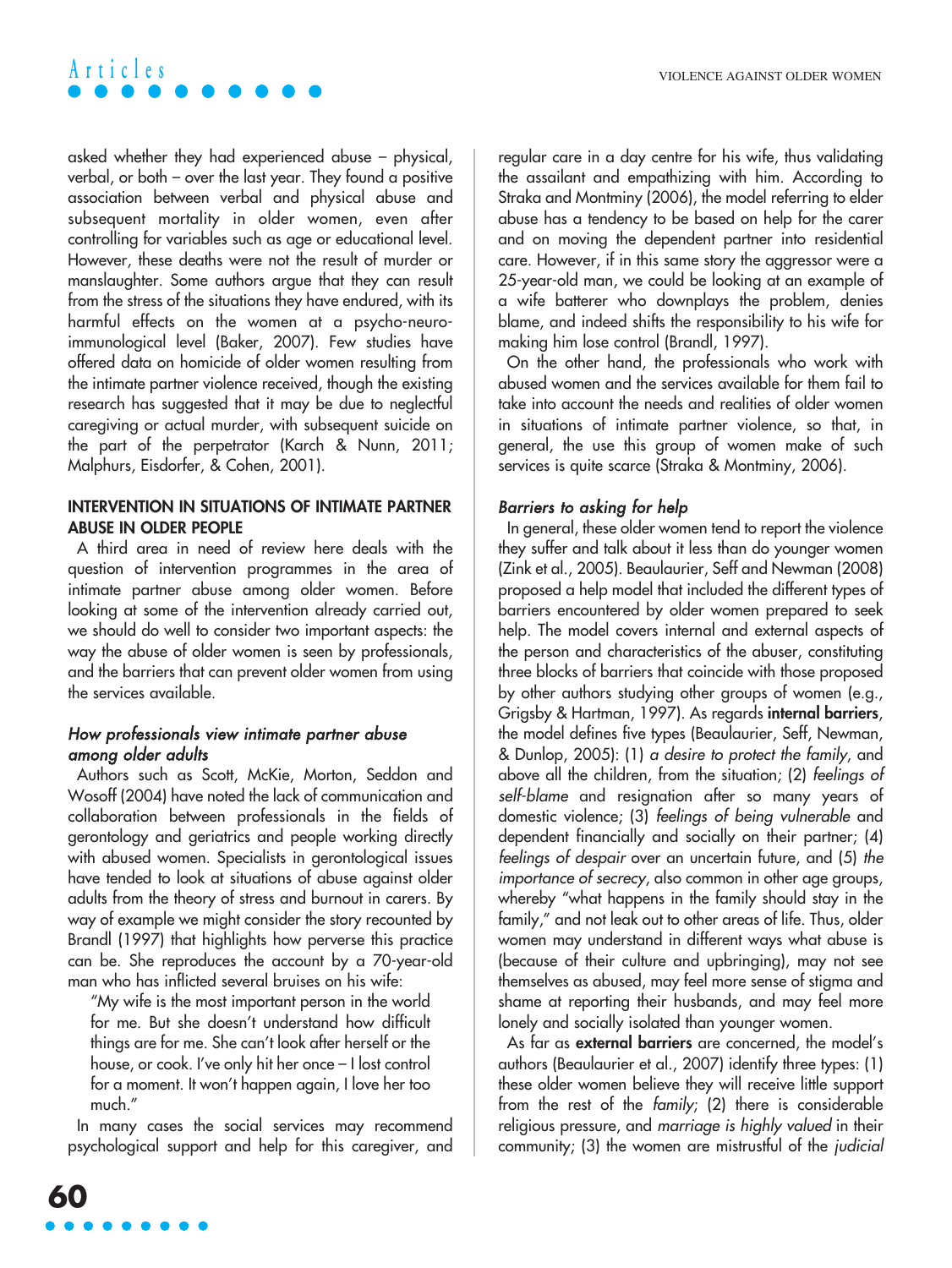asked whether they had experienced abuse – physical, verbal, or both – over the last year. They found a positive association between verbal and physical abuse and subsequent mortality in older women, even after controlling for variables such as age or educational level. However, these deaths were not the result of murder or manslaughter. Some authors argue that they can result from the stress of the situations they have endured, with its harmful effects on the women at a psycho-neuroimmunological level (Baker, 2007). Few studies have offered data on homicide of older women resulting from the intimate partner violence received, though the existing research has suggested that it may be due to neglectful caregiving or actual murder, with subsequent suicide on the part of the perpetrator (Karch & Nunn, 2011; Malphurs, Eisdorfer, & Cohen, 2001).

#### **INTERVENTION IN SITUATIONS OF INTIMATE PARTNER ABUSE IN OLDER PEOPLE**

A third area in need of review here deals with the question of intervention programmes in the area of intimate partner abuse among older women. Before looking at some of the intervention already carried out, we should do well to consider two important aspects: the way the abuse of older women is seen by professionals, and the barriers that can prevent older women from using the services available.

#### How professionals view intimate partner abuse among older adults

Authors such as Scott, McKie, Morton, Seddon and Wosoff (2004) have noted the lack of communication and collaboration between professionals in the fields of gerontology and geriatrics and people working directly with abused women. Specialists in gerontological issues have tended to look at situations of abuse against older adults from the theory of stress and burnout in carers. By way of example we might consider the story recounted by Brandl (1997) that highlights how perverse this practice can be. She reproduces the account by a 70-year-old man who has inflicted several bruises on his wife:

"My wife is the most important person in the world for me. But she doesn't understand how difficult things are for me. She can't look after herself or the house, or cook. I've only hit her once – I lost control for a moment. It won't happen again, I love her too much."

In many cases the social services may recommend psychological support and help for this caregiver, and regular care in a day centre for his wife, thus validating the assailant and empathizing with him. According to Straka and Montminy (2006), the model referring to elder abuse has a tendency to be based on help for the carer and on moving the dependent partner into residential care. However, if in this same story the aggressor were a 25-year-old man, we could be looking at an example of a wife batterer who downplays the problem, denies blame, and indeed shifts the responsibility to his wife for making him lose control (Brandl, 1997).

On the other hand, the professionals who work with abused women and the services available for them fail to take into account the needs and realities of older women in situations of intimate partner violence, so that, in general, the use this group of women make of such services is quite scarce (Straka & Montminy, 2006).

#### Barriers to asking for help

In general, these older women tend to report the violence they suffer and talk about it less than do younger women (Zink et al., 2005). Beaulaurier, Seff and Newman (2008) proposed a help model that included the different types of barriers encountered by older women prepared to seek help. The model covers internal and external aspects of the person and characteristics of the abuser, constituting three blocks of barriers that coincide with those proposed by other authors studying other groups of women (e.g., Grigsby & Hartman, 1997). As regards **internal barriers**, the model defines five types (Beaulaurier, Seff, Newman, & Dunlop, 2005): (1) a desire to protect the family, and above all the children, from the situation; (2) feelings of self-blame and resignation after so many years of domestic violence; (3) feelings of being vulnerable and dependent financially and socially on their partner; (4) feelings of despair over an uncertain future, and (5) the importance of secrecy, also common in other age groups, whereby "what happens in the family should stay in the family," and not leak out to other areas of life. Thus, older women may understand in different ways what abuse is (because of their culture and upbringing), may not see themselves as abused, may feel more sense of stigma and shame at reporting their husbands, and may feel more lonely and socially isolated than younger women.

As far as **external barriers** are concerned, the model's authors (Beaulaurier et al., 2007) identify three types: (1) these older women believe they will receive little support from the rest of the family; (2) there is considerable religious pressure, and marriage is highly valued in their community; (3) the women are mistrustful of the judicial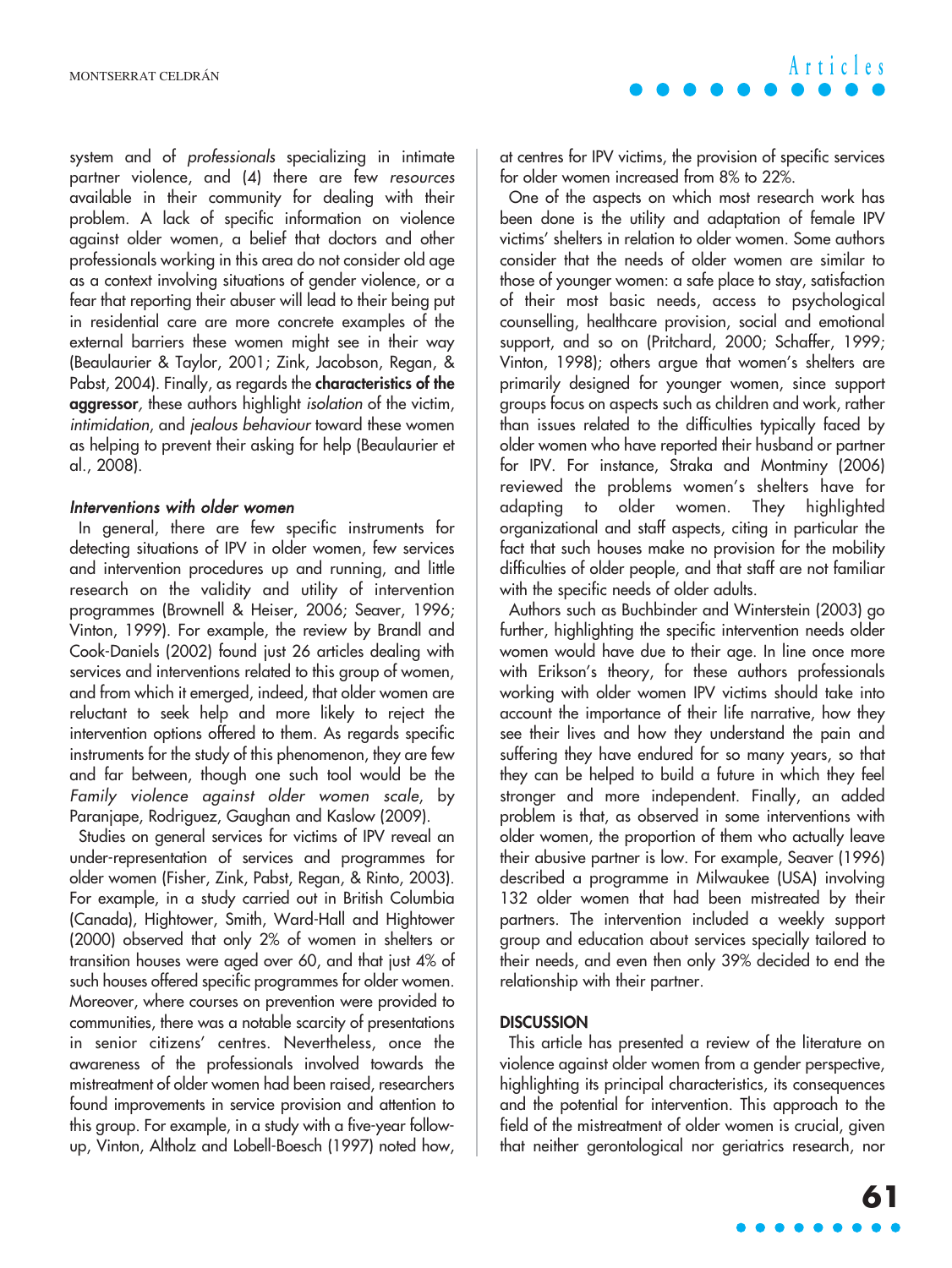system and of professionals specializing in intimate partner violence, and (4) there are few resources available in their community for dealing with their problem. A lack of specific information on violence against older women, a belief that doctors and other professionals working in this area do not consider old age as a context involving situations of gender violence, or a fear that reporting their abuser will lead to their being put in residential care are more concrete examples of the external barriers these women might see in their way (Beaulaurier & Taylor, 2001; Zink, Jacobson, Regan, & Pabst, 2004). Finally, as regards the **characteristics of the aggressor**, these authors highlight isolation of the victim, intimidation, and jealous behaviour toward these women as helping to prevent their asking for help (Beaulaurier et al., 2008).

#### Interventions with older women

In general, there are few specific instruments for detecting situations of IPV in older women, few services and intervention procedures up and running, and little research on the validity and utility of intervention programmes (Brownell & Heiser, 2006; Seaver, 1996; Vinton, 1999). For example, the review by Brandl and Cook-Daniels (2002) found just 26 articles dealing with services and interventions related to this group of women, and from which it emerged, indeed, that older women are reluctant to seek help and more likely to reject the intervention options offered to them. As regards specific instruments for the study of this phenomenon, they are few and far between, though one such tool would be the Family violence against older women scale, by Paranjape, Rodriguez, Gaughan and Kaslow (2009).

Studies on general services for victims of IPV reveal an under-representation of services and programmes for older women (Fisher, Zink, Pabst, Regan, & Rinto, 2003). For example, in a study carried out in British Columbia (Canada), Hightower, Smith, Ward-Hall and Hightower (2000) observed that only 2% of women in shelters or transition houses were aged over 60, and that just 4% of such houses offered specific programmes for older women. Moreover, where courses on prevention were provided to communities, there was a notable scarcity of presentations in senior citizens' centres. Nevertheless, once the awareness of the professionals involved towards the mistreatment of older women had been raised, researchers found improvements in service provision and attention to this group. For example, in a study with a five-year followup, Vinton, Altholz and Lobell-Boesch (1997) noted how,

at centres for IPV victims, the provision of specific services for older women increased from 8% to 22%.

One of the aspects on which most research work has been done is the utility and adaptation of female IPV victims' shelters in relation to older women. Some authors consider that the needs of older women are similar to those of younger women: a safe place to stay, satisfaction of their most basic needs, access to psychological counselling, healthcare provision, social and emotional support, and so on (Pritchard, 2000; Schaffer, 1999; Vinton, 1998); others argue that women's shelters are primarily designed for younger women, since support groups focus on aspects such as children and work, rather than issues related to the difficulties typically faced by older women who have reported their husband or partner for IPV. For instance, Straka and Montminy (2006) reviewed the problems women's shelters have for adapting to older women. They highlighted organizational and staff aspects, citing in particular the fact that such houses make no provision for the mobility difficulties of older people, and that staff are not familiar with the specific needs of older adults.

Authors such as Buchbinder and Winterstein (2003) go further, highlighting the specific intervention needs older women would have due to their age. In line once more with Erikson's theory, for these authors professionals working with older women IPV victims should take into account the importance of their life narrative, how they see their lives and how they understand the pain and suffering they have endured for so many years, so that they can be helped to build a future in which they feel stronger and more independent. Finally, an added problem is that, as observed in some interventions with older women, the proportion of them who actually leave their abusive partner is low. For example, Seaver (1996) described a programme in Milwaukee (USA) involving 132 older women that had been mistreated by their partners. The intervention included a weekly support group and education about services specially tailored to their needs, and even then only 39% decided to end the relationship with their partner.

#### **DISCUSSION**

This article has presented a review of the literature on violence against older women from a gender perspective, highlighting its principal characteristics, its consequences and the potential for intervention. This approach to the field of the mistreatment of older women is crucial, given that neither gerontological nor geriatrics research, nor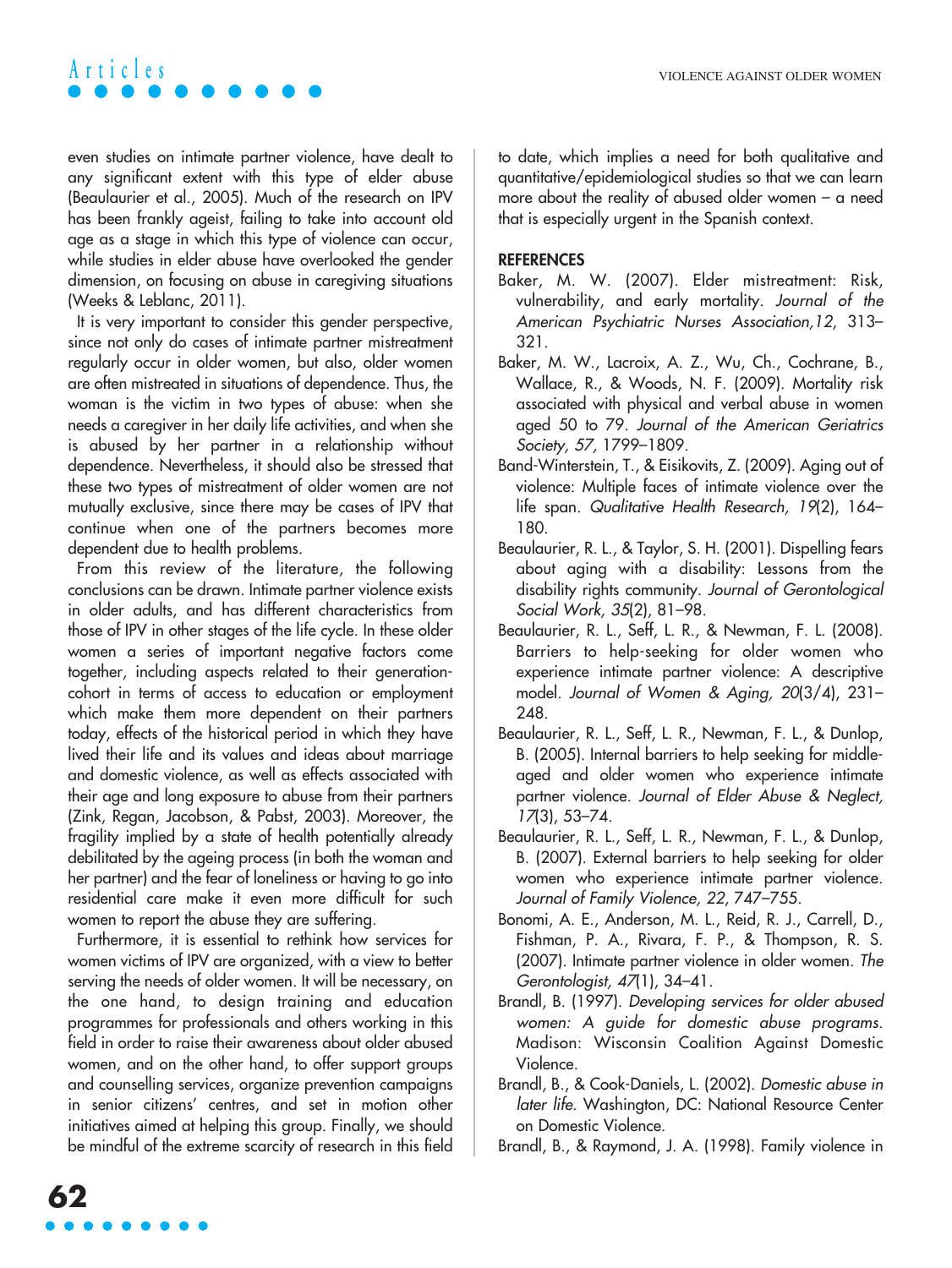even studies on intimate partner violence, have dealt to any significant extent with this type of elder abuse (Beaulaurier et al., 2005). Much of the research on IPV has been frankly ageist, failing to take into account old age as a stage in which this type of violence can occur, while studies in elder abuse have overlooked the gender dimension, on focusing on abuse in caregiving situations (Weeks & Leblanc, 2011).

It is very important to consider this gender perspective, since not only do cases of intimate partner mistreatment regularly occur in older women, but also, older women are often mistreated in situations of dependence. Thus, the woman is the victim in two types of abuse: when she needs a caregiver in her daily life activities, and when she is abused by her partner in a relationship without dependence. Nevertheless, it should also be stressed that these two types of mistreatment of older women are not mutually exclusive, since there may be cases of IPV that continue when one of the partners becomes more dependent due to health problems.

From this review of the literature, the following conclusions can be drawn. Intimate partner violence exists in older adults, and has different characteristics from those of IPV in other stages of the life cycle. In these older women a series of important negative factors come together, including aspects related to their generationcohort in terms of access to education or employment which make them more dependent on their partners today, effects of the historical period in which they have lived their life and its values and ideas about marriage and domestic violence, as well as effects associated with their age and long exposure to abuse from their partners (Zink, Regan, Jacobson, & Pabst, 2003). Moreover, the fragility implied by a state of health potentially already debilitated by the ageing process (in both the woman and her partner) and the fear of loneliness or having to go into residential care make it even more difficult for such women to report the abuse they are suffering.

Furthermore, it is essential to rethink how services for women victims of IPV are organized, with a view to better serving the needs of older women. It will be necessary, on the one hand, to design training and education programmes for professionals and others working in this field in order to raise their awareness about older abused women, and on the other hand, to offer support groups and counselling services, organize prevention campaigns in senior citizens' centres, and set in motion other initiatives aimed at helping this group. Finally, we should be mindful of the extreme scarcity of research in this field to date, which implies a need for both qualitative and quantitative/epidemiological studies so that we can learn more about the reality of abused older women – a need that is especially urgent in the Spanish context.

#### **REFERENCES**

- Baker, M. W. (2007). Elder mistreatment: Risk, vulnerability, and early mortality. Journal of the American Psychiatric Nurses Association,12, 313– 321.
- Baker, M. W., Lacroix, A. Z., Wu, Ch., Cochrane, B., Wallace, R., & Woods, N. F. (2009). Mortality risk associated with physical and verbal abuse in women aged 50 to 79. Journal of the American Geriatrics Society, 57, 1799–1809.
- Band-Winterstein, T., & Eisikovits, Z. (2009). Aging out of violence: Multiple faces of intimate violence over the life span. Qualitative Health Research, 19(2), 164– 180.
- Beaulaurier, R. L., & Taylor, S. H. (2001). Dispelling fears about aging with a disability: Lessons from the disability rights community. Journal of Gerontological Social Work, 35(2), 81–98.
- Beaulaurier, R. L., Seff, L. R., & Newman, F. L. (2008). Barriers to help-seeking for older women who experience intimate partner violence: A descriptive model. Journal of Women & Aging, 20(3/4), 231– 248.
- Beaulaurier, R. L., Seff, L. R., Newman, F. L., & Dunlop, B. (2005). Internal barriers to help seeking for middleaged and older women who experience intimate partner violence. Journal of Elder Abuse & Neglect, 17(3), 53–74.
- Beaulaurier, R. L., Seff, L. R., Newman, F. L., & Dunlop, B. (2007). External barriers to help seeking for older women who experience intimate partner violence. Journal of Family Violence, 22, 747–755.
- Bonomi, A. E., Anderson, M. L., Reid, R. J., Carrell, D., Fishman, P. A., Rivara, F. P., & Thompson, R. S. (2007). Intimate partner violence in older women. The Gerontologist, 47(1), 34–41.
- Brandl, B. (1997). Developing services for older abused women: A guide for domestic abuse programs. Madison: Wisconsin Coalition Against Domestic Violence.
- Brandl, B., & Cook-Daniels, L. (2002). Domestic abuse in later life. Washington, DC: National Resource Center on Domestic Violence.
- Brandl, B., & Raymond, J. A. (1998). Family violence in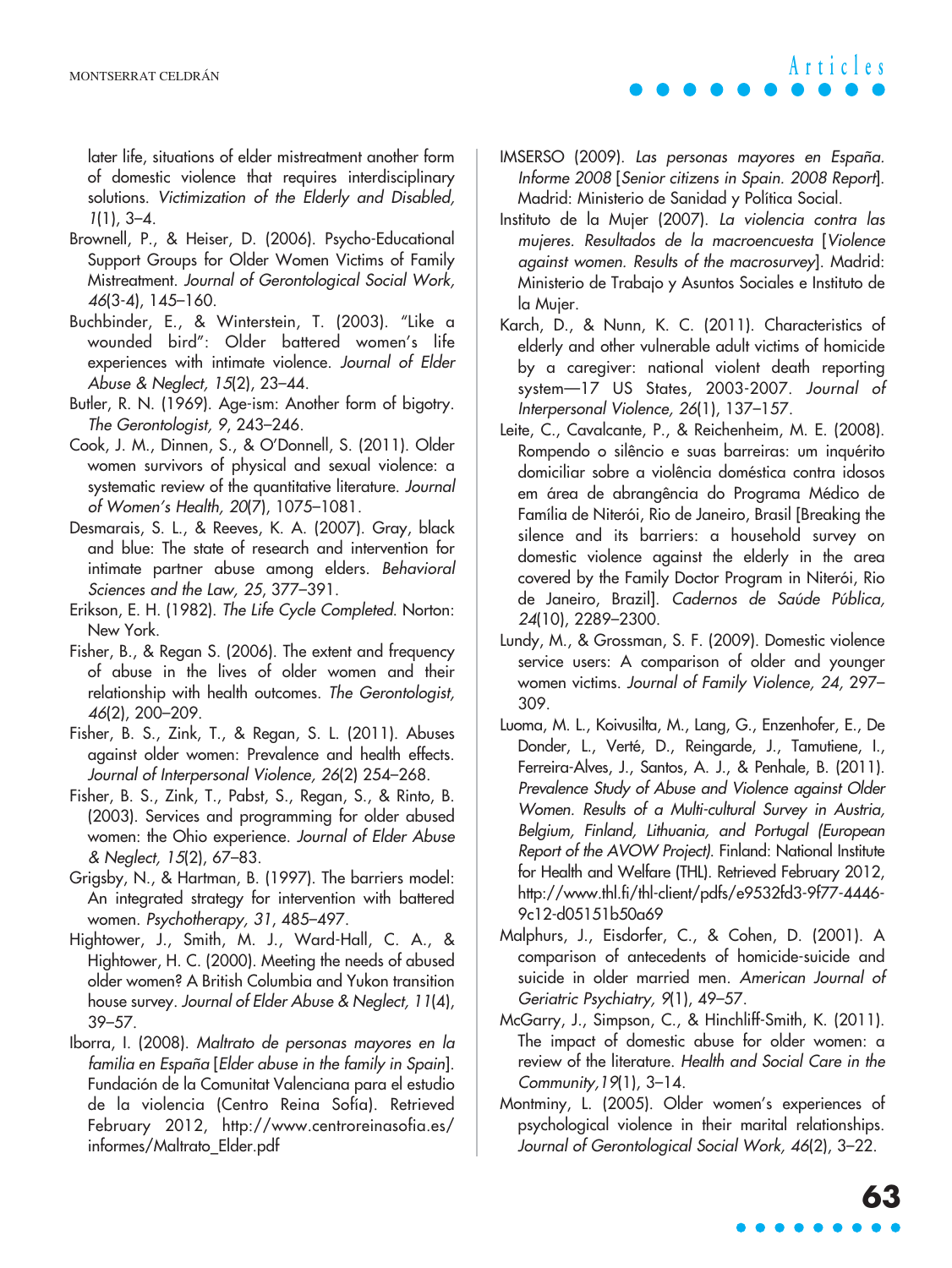later life, situations of elder mistreatment another form of domestic violence that requires interdisciplinary solutions. Victimization of the Elderly and Disabled, 1(1), 3–4.

- Brownell, P., & Heiser, D. (2006). Psycho-Educational Support Groups for Older Women Victims of Family Mistreatment. Journal of Gerontological Social Work, 46(3-4), 145–160.
- Buchbinder, E., & Winterstein, T. (2003). "Like a wounded bird": Older battered women's life experiences with intimate violence. Journal of Elder Abuse & Neglect, 15(2), 23–44.
- Butler, R. N. (1969). Age-ism: Another form of bigotry. The Gerontologist, 9, 243–246.
- Cook, J. M., Dinnen, S., & O'Donnell, S. (2011). Older women survivors of physical and sexual violence: a systematic review of the quantitative literature. Journal of Women's Health, 20(7), 1075–1081.
- Desmarais, S. L., & Reeves, K. A. (2007). Gray, black and blue: The state of research and intervention for intimate partner abuse among elders. Behavioral Sciences and the Law, 25, 377–391.
- Erikson, E. H. (1982). The Life Cycle Completed. Norton: New York.
- Fisher, B., & Regan S. (2006). The extent and frequency of abuse in the lives of older women and their relationship with health outcomes. The Gerontologist, 46(2), 200–209.
- Fisher, B. S., Zink, T., & Regan, S. L. (2011). Abuses against older women: Prevalence and health effects. Journal of Interpersonal Violence, 26(2) 254–268.
- Fisher, B. S., Zink, T., Pabst, S., Regan, S., & Rinto, B. (2003). Services and programming for older abused women: the Ohio experience. Journal of Elder Abuse & Neglect, 15(2), 67–83.
- Grigsby, N., & Hartman, B. (1997). The barriers model: An integrated strategy for intervention with battered women. Psychotherapy, 31, 485–497.
- Hightower, J., Smith, M. J., Ward-Hall, C. A., & Hightower, H. C. (2000). Meeting the needs of abused older women? A British Columbia and Yukon transition house survey. Journal of Elder Abuse & Neglect, 11(4), 39–57.
- Iborra, I. (2008). Maltrato de personas mayores en la familia en España [Elder abuse in the family in Spain]. Fundación de la Comunitat Valenciana para el estudio de la violencia (Centro Reina Sofía). Retrieved February 2012, http://www.centroreinasofia.es/ informes/Maltrato\_Elder.pdf
- IMSERSO (2009). Las personas mayores en España. Informe 2008 [Senior citizens in Spain. 2008 Report]. Madrid: Ministerio de Sanidad y Política Social.
- Instituto de la Mujer (2007). La violencia contra las mujeres. Resultados de la macroencuesta [Violence against women. Results of the macrosurvey]. Madrid: Ministerio de Trabajo y Asuntos Sociales e Instituto de la Mujer.
- Karch, D., & Nunn, K. C. (2011). Characteristics of elderly and other vulnerable adult victims of homicide by a caregiver: national violent death reporting system—17 US States, 2003-2007. Journal of Interpersonal Violence, 26(1), 137–157.
- Leite, C., Cavalcante, P., & Reichenheim, M. E. (2008). Rompendo o silêncio e suas barreiras: um inquérito domiciliar sobre a violência doméstica contra idosos em área de abrangência do Programa Médico de Família de Niterói, Rio de Janeiro, Brasil [Breaking the silence and its barriers: a household survey on domestic violence against the elderly in the area covered by the Family Doctor Program in Niterói, Rio de Janeiro, Brazil]. Cadernos de Saúde Pública, 24(10), 2289–2300.
- Lundy, M., & Grossman, S. F. (2009). Domestic violence service users: A comparison of older and younger women victims. Journal of Family Violence, 24, 297– 309.
- Luoma, M. L., Koivusilta, M., Lang, G., Enzenhofer, E., De Donder, L., Verté, D., Reingarde, J., Tamutiene, I., Ferreira-Alves, J., Santos, A. J., & Penhale, B. (2011). Prevalence Study of Abuse and Violence against Older Women. Results of a Multi-cultural Survey in Austria, Belgium, Finland, Lithuania, and Portugal (European Report of the AVOW Project). Finland: National Institute for Health and Welfare (THL). Retrieved February 2012, http://www.thl.fi/thl-client/pdfs/e9532fd3-9f77-4446- 9c12-d05151b50a69
- Malphurs, J., Eisdorfer, C., & Cohen, D. (2001). A comparison of antecedents of homicide-suicide and suicide in older married men. American Journal of Geriatric Psychiatry, 9(1), 49–57.
- McGarry, J., Simpson, C., & Hinchliff-Smith, K. (2011). The impact of domestic abuse for older women: a review of the literature. Health and Social Care in the Community,19(1), 3–14.
- Montminy, L. (2005). Older women's experiences of psychological violence in their marital relationships. Journal of Gerontological Social Work, 46(2), 3–22.